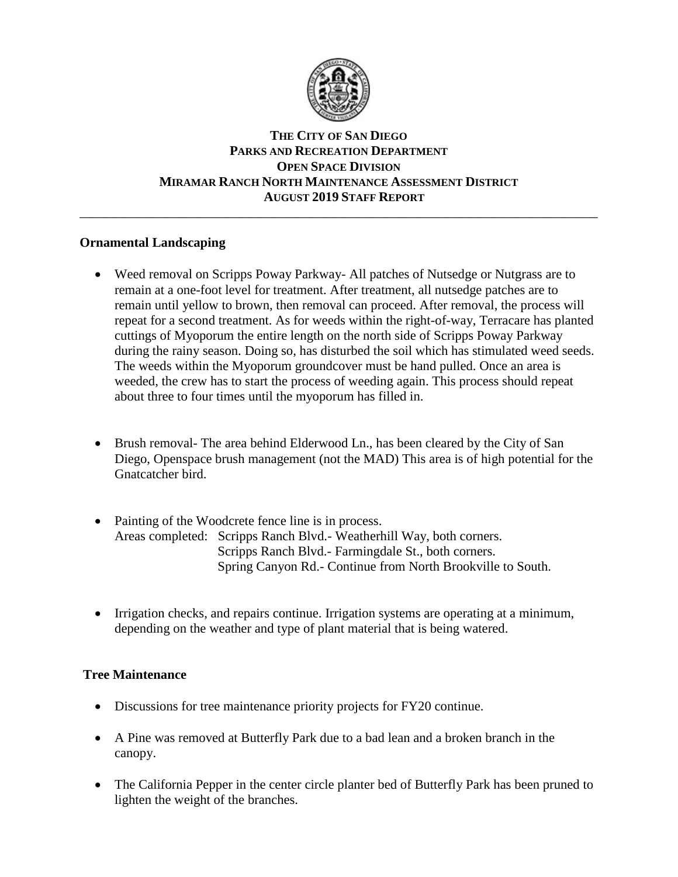

## **THE CITY OF SAN DIEGO PARKS AND RECREATION DEPARTMENT OPEN SPACE DIVISION MIRAMAR RANCH NORTH MAINTENANCE ASSESSMENT DISTRICT AUGUST 2019 STAFF REPORT**

\_\_\_\_\_\_\_\_\_\_\_\_\_\_\_\_\_\_\_\_\_\_\_\_\_\_\_\_\_\_\_\_\_\_\_\_\_\_\_\_\_\_\_\_\_\_\_\_\_\_\_\_\_\_\_\_\_\_\_\_\_\_\_\_\_\_\_\_\_\_\_\_\_\_\_\_\_\_

## **Ornamental Landscaping**

- Weed removal on Scripps Poway Parkway- All patches of Nutsedge or Nutgrass are to remain at a one-foot level for treatment. After treatment, all nutsedge patches are to remain until yellow to brown, then removal can proceed. After removal, the process will repeat for a second treatment. As for weeds within the right-of-way, Terracare has planted cuttings of Myoporum the entire length on the north side of Scripps Poway Parkway during the rainy season. Doing so, has disturbed the soil which has stimulated weed seeds. The weeds within the Myoporum groundcover must be hand pulled. Once an area is weeded, the crew has to start the process of weeding again. This process should repeat about three to four times until the myoporum has filled in.
- Brush removal- The area behind Elderwood Ln., has been cleared by the City of San Diego, Openspace brush management (not the MAD) This area is of high potential for the Gnatcatcher bird.
- Painting of the Woodcrete fence line is in process. Areas completed: Scripps Ranch Blvd.- Weatherhill Way, both corners. Scripps Ranch Blvd.- Farmingdale St., both corners. Spring Canyon Rd.- Continue from North Brookville to South.
- Irrigation checks, and repairs continue. Irrigation systems are operating at a minimum, depending on the weather and type of plant material that is being watered.

## **Tree Maintenance**

- Discussions for tree maintenance priority projects for FY20 continue.
- A Pine was removed at Butterfly Park due to a bad lean and a broken branch in the canopy.
- The California Pepper in the center circle planter bed of Butterfly Park has been pruned to lighten the weight of the branches.